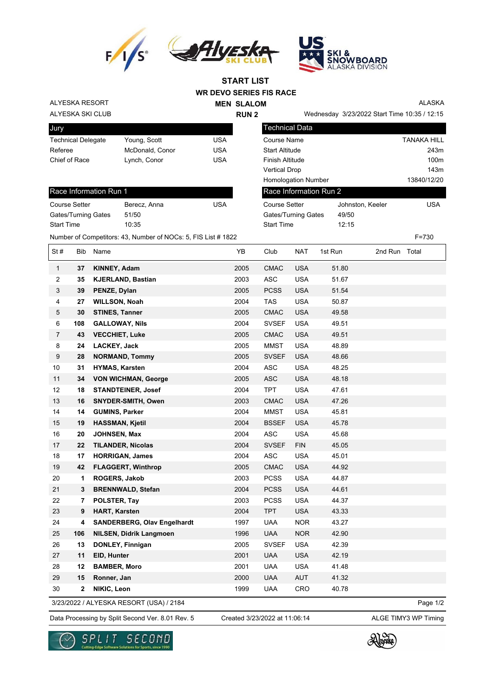



**WR DEVO SERIES FIS RACE START LIST**

**RUN 2**

**MEN SLALOM** 

ALYESKA RESORT

## ALYESKA SKI CLUB

Race Information Run 1

Start Time 10:35

| Jury                      |                 |     |
|---------------------------|-----------------|-----|
| <b>Technical Delegate</b> | Young, Scott    | USA |
| Referee                   | McDonald, Conor | USA |
| Chief of Race             | Lynch, Conor    | USA |
|                           |                 |     |

| <b>Technical Data</b>      |                  |                    |  |  |  |
|----------------------------|------------------|--------------------|--|--|--|
| Course Name                |                  | <b>TANAKA HILL</b> |  |  |  |
| <b>Start Altitude</b>      |                  | 243m               |  |  |  |
| <b>Finish Altitude</b>     |                  | 100 <sub>m</sub>   |  |  |  |
| <b>Vertical Drop</b>       |                  | 143m               |  |  |  |
| <b>Homologation Number</b> |                  | 13840/12/20        |  |  |  |
| Race Information Run 2     |                  |                    |  |  |  |
| Course Setter              | Johnston, Keeler | USA                |  |  |  |

Gates/Turning Gates 49/50 Start Time 12:15

Wednesday 3/23/2022 Start Time 10:35 / 12:15

ALASKA

Course Setter **Berecz**, Anna **USA** Gates/Turning Gates 51/50

| Number of Competitors: 43, Number of NOCs: 5, FIS List # 1822<br>$\sim$ , the contract of the contract of the contract of the contract of the contract of the contract of the contract of the contract of the contract of the contract of the contract of the contract of the contract of the co | F=730 |
|--------------------------------------------------------------------------------------------------------------------------------------------------------------------------------------------------------------------------------------------------------------------------------------------------|-------|
|                                                                                                                                                                                                                                                                                                  |       |

| St#            | Bib          | Name                               | YB   | Club         | <b>NAT</b> | 1st Run | 2nd Run Total |  |
|----------------|--------------|------------------------------------|------|--------------|------------|---------|---------------|--|
| $\mathbf{1}$   | 37           | KINNEY, Adam                       | 2005 | <b>CMAC</b>  | <b>USA</b> | 51.80   |               |  |
| 2              | 35           | <b>KJERLAND, Bastian</b>           | 2003 | <b>ASC</b>   | <b>USA</b> | 51.67   |               |  |
| 3              | 39           | PENZE, Dylan                       | 2005 | <b>PCSS</b>  | <b>USA</b> | 51.54   |               |  |
| 4              | 27           | <b>WILLSON, Noah</b>               | 2004 | <b>TAS</b>   | <b>USA</b> | 50.87   |               |  |
| 5              | 30           | <b>STINES, Tanner</b>              | 2005 | <b>CMAC</b>  | <b>USA</b> | 49.58   |               |  |
| 6              | 108          | <b>GALLOWAY, Nils</b>              | 2004 | <b>SVSEF</b> | <b>USA</b> | 49.51   |               |  |
| $\overline{7}$ | 43           | <b>VECCHIET, Luke</b>              | 2005 | <b>CMAC</b>  | <b>USA</b> | 49.51   |               |  |
| 8              | 24           | LACKEY, Jack                       | 2005 | <b>MMST</b>  | <b>USA</b> | 48.89   |               |  |
| 9              | 28           | <b>NORMAND, Tommy</b>              | 2005 | <b>SVSEF</b> | <b>USA</b> | 48.66   |               |  |
| 10             | 31           | <b>HYMAS, Karsten</b>              | 2004 | <b>ASC</b>   | <b>USA</b> | 48.25   |               |  |
| 11             | 34           | <b>VON WICHMAN, George</b>         | 2005 | <b>ASC</b>   | <b>USA</b> | 48.18   |               |  |
| 12             | 18           | <b>STANDTEINER, Josef</b>          | 2004 | <b>TPT</b>   | <b>USA</b> | 47.61   |               |  |
| 13             | 16           | <b>SNYDER-SMITH, Owen</b>          | 2003 | <b>CMAC</b>  | <b>USA</b> | 47.26   |               |  |
| 14             | 14           | <b>GUMINS, Parker</b>              | 2004 | <b>MMST</b>  | <b>USA</b> | 45.81   |               |  |
| 15             | 19           | <b>HASSMAN, Kjetil</b>             | 2004 | <b>BSSEF</b> | <b>USA</b> | 45.78   |               |  |
| 16             | 20           | JOHNSEN, Max                       | 2004 | <b>ASC</b>   | <b>USA</b> | 45.68   |               |  |
| 17             | 22           | <b>TILANDER, Nicolas</b>           | 2004 | <b>SVSEF</b> | <b>FIN</b> | 45.05   |               |  |
| 18             | 17           | <b>HORRIGAN, James</b>             | 2004 | <b>ASC</b>   | <b>USA</b> | 45.01   |               |  |
| 19             | 42           | <b>FLAGGERT, Winthrop</b>          | 2005 | <b>CMAC</b>  | <b>USA</b> | 44.92   |               |  |
| 20             | 1            | ROGERS, Jakob                      | 2003 | <b>PCSS</b>  | <b>USA</b> | 44.87   |               |  |
| 21             | 3            | <b>BRENNWALD, Stefan</b>           | 2004 | <b>PCSS</b>  | <b>USA</b> | 44.61   |               |  |
| 22             | 7            | POLSTER, Tay                       | 2003 | <b>PCSS</b>  | <b>USA</b> | 44.37   |               |  |
| 23             | 9            | <b>HART, Karsten</b>               | 2004 | <b>TPT</b>   | <b>USA</b> | 43.33   |               |  |
| 24             | 4            | <b>SANDERBERG, Olav Engelhardt</b> | 1997 | <b>UAA</b>   | <b>NOR</b> | 43.27   |               |  |
| 25             | 106          | <b>NILSEN, Didrik Langmoen</b>     | 1996 | <b>UAA</b>   | <b>NOR</b> | 42.90   |               |  |
| 26             | 13           | DONLEY, Finnigan                   | 2005 | <b>SVSEF</b> | <b>USA</b> | 42.39   |               |  |
| 27             | 11           | EID, Hunter                        | 2001 | <b>UAA</b>   | <b>USA</b> | 42.19   |               |  |
| 28             | 12           | <b>BAMBER, Moro</b>                | 2001 | <b>UAA</b>   | <b>USA</b> | 41.48   |               |  |
| 29             | 15           | Ronner, Jan                        | 2000 | <b>UAA</b>   | <b>AUT</b> | 41.32   |               |  |
| 30             | $\mathbf{2}$ | NIKIC, Leon                        | 1999 | <b>UAA</b>   | CRO        | 40.78   |               |  |

3/23/2022 / ALYESKA RESORT (USA) / 2184

Data Processing by Split Second Ver. 8.01 Rev. 5 Created 3/23/2022 at 11:06:14 ALGE TIMY3 WP Timing Created 3/23/2022 at 11:06:14

Page 1/2